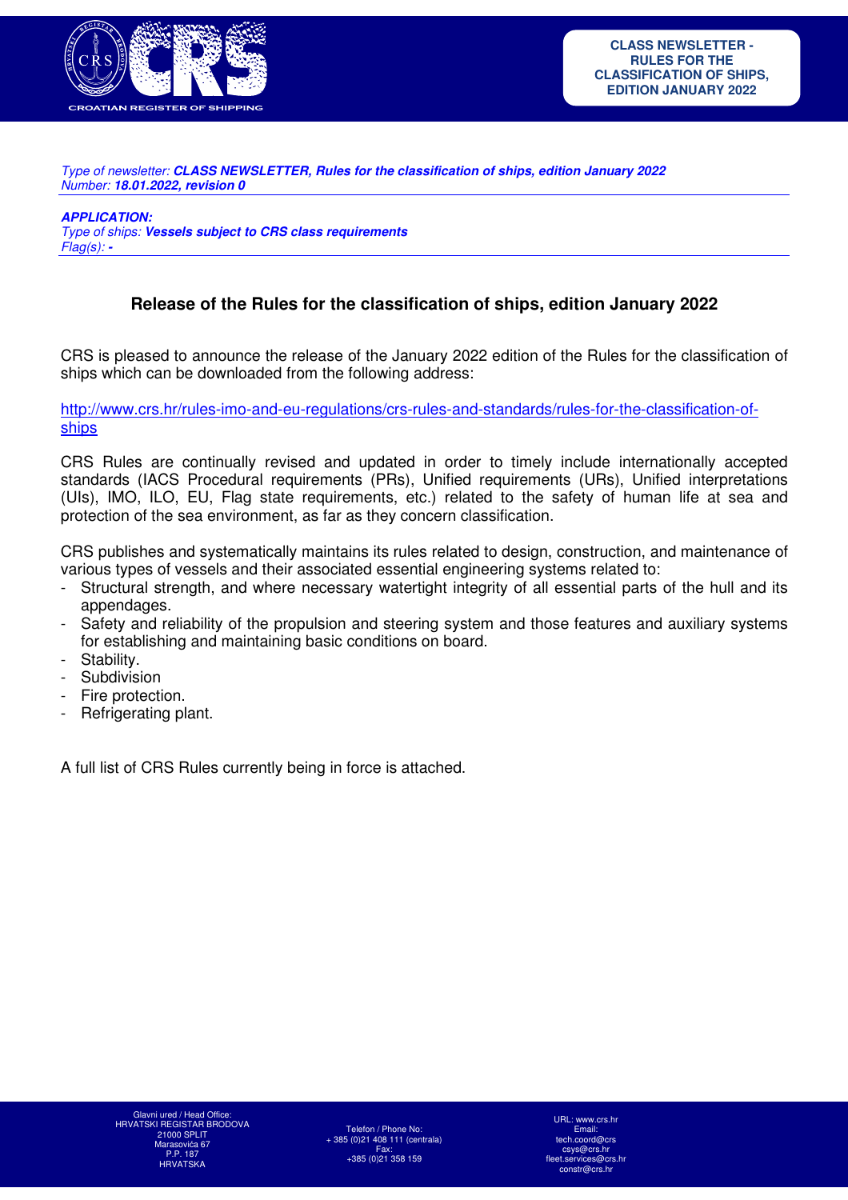

Type of newsletter: *CLASS NEWSLETTER, Rules for the classification of ships, edition January 2022* Number: *18.01.2022, revision 0* 

*APPLICATION:* 

Type of ships: *Vessels subject to CRS class requirements*  Flag(s): *-*

## **Release of the Rules for the classification of ships, edition January 2022**

CRS is pleased to announce the release of the January 2022 edition of the Rules for the classification of ships which can be downloaded from the following address:

http://www.crs.hr/rules-imo-and-eu-regulations/crs-rules-and-standards/rules-for-the-classification-ofships

CRS Rules are continually revised and updated in order to timely include internationally accepted standards (IACS Procedural requirements (PRs), Unified requirements (URs), Unified interpretations (UIs), IMO, ILO, EU, Flag state requirements, etc.) related to the safety of human life at sea and protection of the sea environment, as far as they concern classification.

CRS publishes and systematically maintains its rules related to design, construction, and maintenance of various types of vessels and their associated essential engineering systems related to:

- Structural strength, and where necessary watertight integrity of all essential parts of the hull and its appendages.
- Safety and reliability of the propulsion and steering system and those features and auxiliary systems for establishing and maintaining basic conditions on board.
- Stability.
- **Subdivision**
- Fire protection.
- Refrigerating plant.

A full list of CRS Rules currently being in force is attached.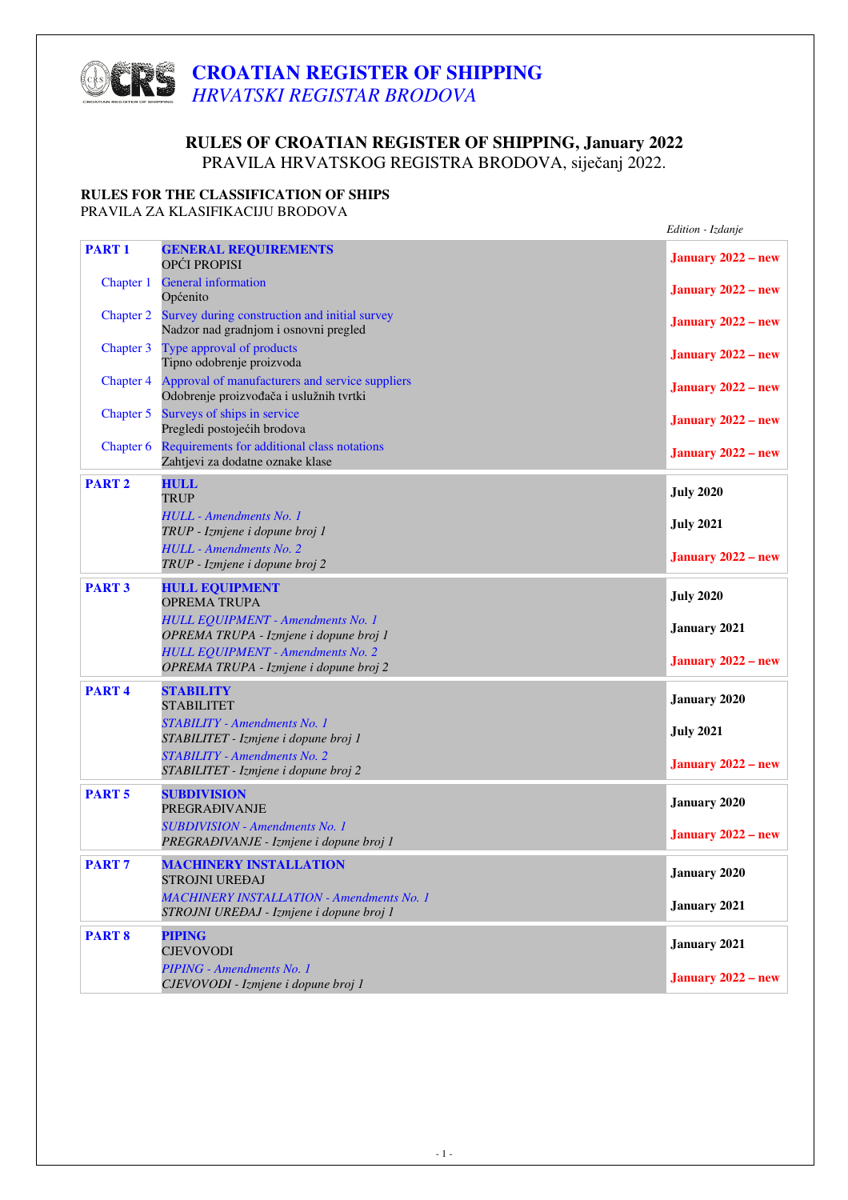# **CROATIAN REGISTER OF SHIPPING**  *HRVATSKI REGISTAR BRODOVA*

### **RULES OF CROATIAN REGISTER OF SHIPPING, January 2022** PRAVILA HRVATSKOG REGISTRA BRODOVA, siječanj 2022.

### **RULES FOR THE CLASSIFICATION OF SHIPS**

PRAVILA ZA KLASIFIKACIJU BRODOVA

|                  |                                                                                              | Edition - Izdanje         |
|------------------|----------------------------------------------------------------------------------------------|---------------------------|
| <b>PART1</b>     | <b>GENERAL REQUIREMENTS</b><br>OPĆI PROPISI                                                  | <b>January 2022 – new</b> |
| Chapter 1        | <b>General information</b><br>Općenito                                                       | <b>January 2022 – new</b> |
| <b>Chapter 2</b> | Survey during construction and initial survey<br>Nadzor nad gradnjom i osnovni pregled       | <b>January 2022 – new</b> |
| Chapter 3        | Type approval of products<br>Tipno odobrenje proizvoda                                       | <b>January 2022 – new</b> |
| Chapter 4        | Approval of manufacturers and service suppliers<br>Odobrenje proizvođača i uslužnih tvrtki   | <b>January 2022 – new</b> |
| Chapter 5        | Surveys of ships in service<br>Pregledi postojećih brodova                                   | <b>January 2022 – new</b> |
| Chapter 6        | Requirements for additional class notations<br>Zahtjevi za dodatne oznake klase              | January 2022 - new        |
| <b>PART 2</b>    | <b>HULL</b><br><b>TRUP</b>                                                                   | <b>July 2020</b>          |
|                  | <b>HULL</b> - Amendments No. 1<br>TRUP - Izmjene i dopune broj 1                             | <b>July 2021</b>          |
|                  | <b>HULL</b> - Amendments No. 2<br>TRUP - Izmjene i dopune broj 2                             | January $2022 - new$      |
| <b>PART 3</b>    | <b>HULL EQUIPMENT</b><br><b>OPREMA TRUPA</b>                                                 | <b>July 2020</b>          |
|                  | <b>HULL EQUIPMENT - Amendments No. 1</b><br>OPREMA TRUPA - Izmjene i dopune broj 1           | <b>January 2021</b>       |
|                  | <b>HULL EQUIPMENT - Amendments No. 2</b><br>OPREMA TRUPA - Izmjene i dopune broj 2           | January $2022 - new$      |
| <b>PART4</b>     | <b>STABILITY</b><br><b>STABILITET</b>                                                        | <b>January 2020</b>       |
|                  | <b>STABILITY</b> - Amendments No. 1<br>STABILITET - Izmjene i dopune broj 1                  | <b>July 2021</b>          |
|                  | <b>STABILITY</b> - Amendments No. 2<br>STABILITET - Izmjene i dopune broj 2                  | January $2022 - new$      |
| <b>PART5</b>     | <b>SUBDIVISION</b><br><b>PREGRAĐIVANJE</b>                                                   | January 2020              |
|                  | <b>SUBDIVISION - Amendments No. 1</b><br>PREGRAĐIVANJE - Izmjene i dopune broj 1             | January $2022 - new$      |
| <b>PART7</b>     | <b>MACHINERY INSTALLATION</b><br><b>STROJNI UREĐAJ</b>                                       | <b>January 2020</b>       |
|                  | <b>MACHINERY INSTALLATION - Amendments No. 1</b><br>STROJNI UREĐAJ - Izmjene i dopune broj 1 | January 2021              |
| <b>PART 8</b>    | <b>PIPING</b><br><b>CJEVOVODI</b>                                                            | January 2021              |
|                  | PIPING - Amendments No. 1<br>CJEVOVODI - Izmjene i dopune broj 1                             | January $2022 - new$      |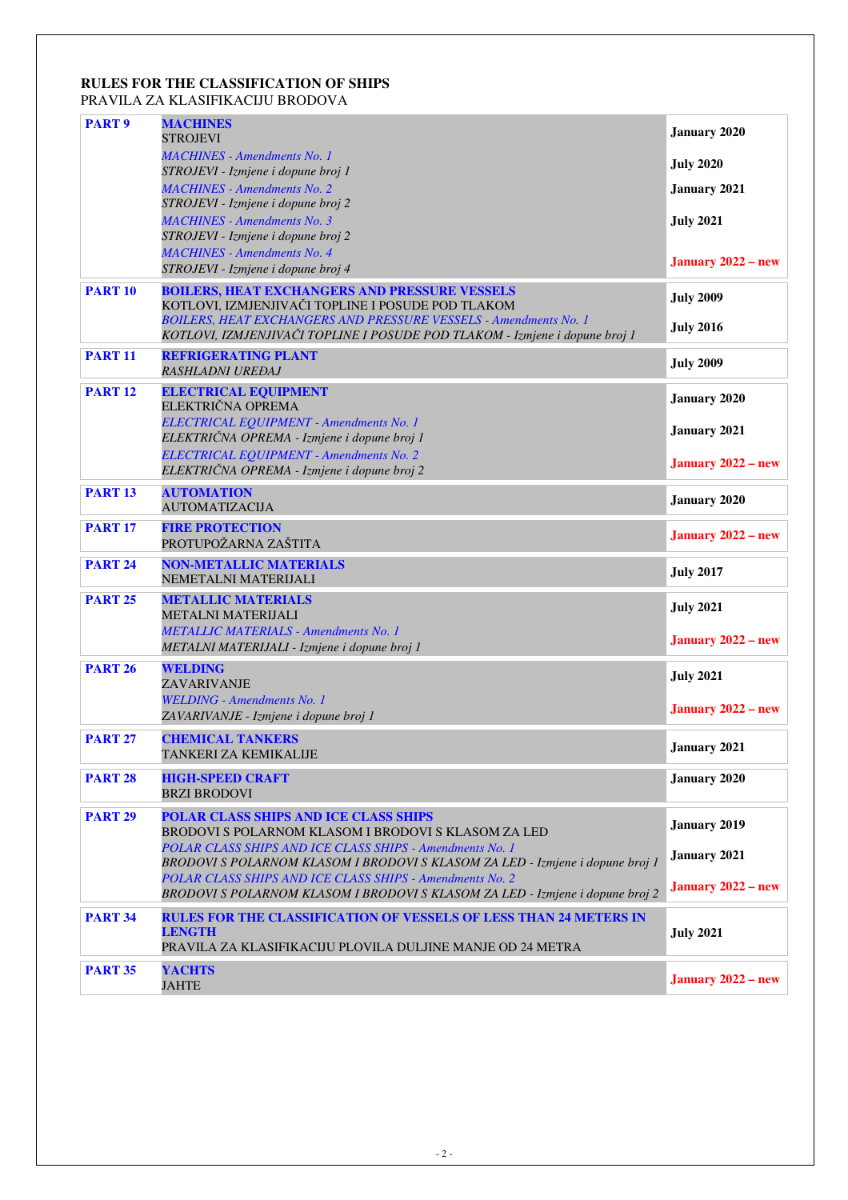#### **RULES FOR THE CLASSIFICATION OF SHIPS** PRAVILA ZA KLASIFIKACIJU BRODOVA

| <b>PART 9</b>  | <b>MACHINES</b><br><b>STROJEVI</b>                                                                                                        | <b>January 2020</b>       |
|----------------|-------------------------------------------------------------------------------------------------------------------------------------------|---------------------------|
|                | <b>MACHINES - Amendments No. 1</b><br>STROJEVI - Izmjene i dopune broj 1                                                                  | <b>July 2020</b>          |
|                | <b>MACHINES - Amendments No. 2</b>                                                                                                        | <b>January 2021</b>       |
|                | STROJEVI - Izmjene i dopune broj 2<br><b>MACHINES</b> - Amendments No. 3                                                                  | <b>July 2021</b>          |
|                | STROJEVI - Izmjene i dopune broj 2                                                                                                        |                           |
|                | <b>MACHINES</b> - Amendments No. 4<br>STROJEVI - Izmjene i dopune broj 4                                                                  | <b>January 2022 – new</b> |
| <b>PART 10</b> | <b>BOILERS, HEAT EXCHANGERS AND PRESSURE VESSELS</b>                                                                                      | <b>July 2009</b>          |
|                | KOTLOVI, IZMJENJIVAČI TOPLINE I POSUDE POD TLAKOM<br><b>BOILERS, HEAT EXCHANGERS AND PRESSURE VESSELS - Amendments No. 1</b>              | <b>July 2016</b>          |
| <b>PART 11</b> | KOTLOVI, IZMJENJIVAČI TOPLINE I POSUDE POD TLAKOM - Izmjene i dopune broj 1<br><b>REFRIGERATING PLANT</b>                                 |                           |
|                | RASHLADNI UREĐAJ                                                                                                                          | <b>July 2009</b>          |
| <b>PART 12</b> | <b>ELECTRICAL EQUIPMENT</b><br>ELEKTRIČNA OPREMA                                                                                          | <b>January 2020</b>       |
|                | ELECTRICAL EQUIPMENT - Amendments No. 1<br>ELEKTRIČNA OPREMA - Izmjene i dopune broj 1                                                    | January 2021              |
|                | ELECTRICAL EQUIPMENT - Amendments No. 2                                                                                                   | January $2022 - new$      |
|                | ELEKTRIČNA OPREMA - Izmjene i dopune broj 2                                                                                               |                           |
| <b>PART 13</b> | <b>AUTOMATION</b><br><b>AUTOMATIZACIJA</b>                                                                                                | <b>January 2020</b>       |
| <b>PART 17</b> | <b>FIRE PROTECTION</b><br>PROTUPOŽARNA ZAŠTITA                                                                                            | <b>January 2022 – new</b> |
| <b>PART 24</b> | <b>NON-METALLIC MATERIALS</b><br>NEMETALNI MATERIJALI                                                                                     | <b>July 2017</b>          |
| <b>PART 25</b> | <b>METALLIC MATERIALS</b><br>METALNI MATERIJALI                                                                                           | <b>July 2021</b>          |
|                | <b>METALLIC MATERIALS - Amendments No. 1</b>                                                                                              | <b>January 2022 – new</b> |
| <b>PART 26</b> | METALNI MATERIJALI - Izmjene i dopune broj 1<br><b>WELDING</b>                                                                            |                           |
|                | ZAVARIVANJE                                                                                                                               | <b>July 2021</b>          |
|                | <b>WELDING - Amendments No. 1</b><br>ZAVARIVANJE - Izmjene i dopune broj 1                                                                | January $2022 - new$      |
| <b>PART 27</b> | <b>CHEMICAL TANKERS</b><br>TANKERI ZA KEMIKALIJE                                                                                          | January 2021              |
| <b>PART 28</b> | <b>HIGH-SPEED CRAFT</b><br><b>BRZI BRODOVI</b>                                                                                            | <b>January 2020</b>       |
| <b>PART 29</b> | POLAR CLASS SHIPS AND ICE CLASS SHIPS                                                                                                     | <b>January 2019</b>       |
|                | <b>BRODOVI S POLARNOM KLASOM I BRODOVI S KLASOM ZA LED</b><br>POLAR CLASS SHIPS AND ICE CLASS SHIPS - Amendments No. 1                    |                           |
|                | BRODOVI S POLARNOM KLASOM I BRODOVI S KLASOM ZA LED - Izmjene i dopune broj 1                                                             | January 2021              |
|                | POLAR CLASS SHIPS AND ICE CLASS SHIPS - Amendments No. 2<br>BRODOVI S POLARNOM KLASOM I BRODOVI S KLASOM ZA LED - Izmjene i dopune broj 2 | <b>January 2022 – new</b> |
| <b>PART 34</b> | <b>RULES FOR THE CLASSIFICATION OF VESSELS OF LESS THAN 24 METERS IN</b>                                                                  |                           |
|                | <b>LENGTH</b><br>PRAVILA ZA KLASIFIKACIJU PLOVILA DULJINE MANJE OD 24 METRA                                                               | <b>July 2021</b>          |
| <b>PART 35</b> | <b>YACHTS</b><br><b>JAHTE</b>                                                                                                             | <b>January 2022 – new</b> |